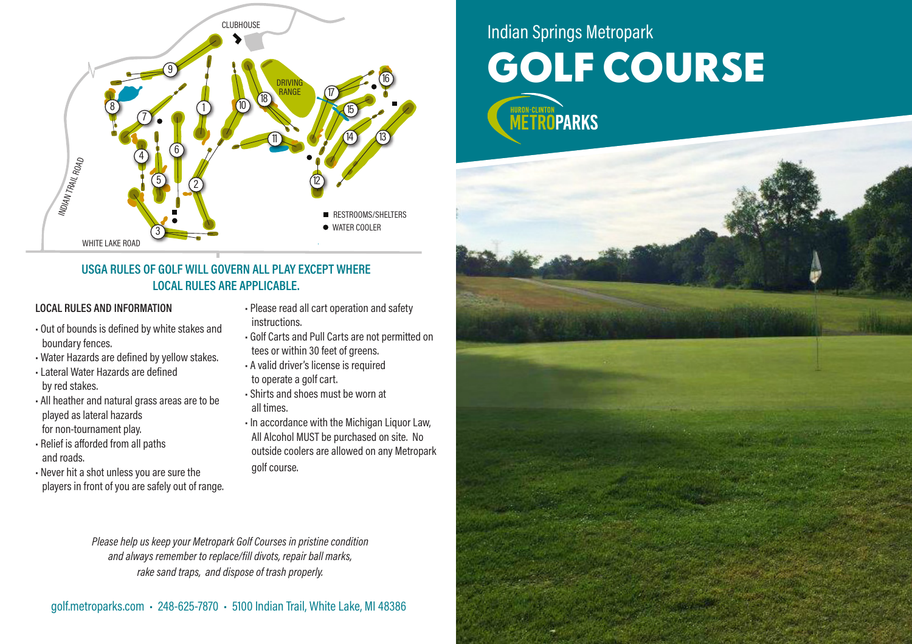

## **USGA RULES OF GOLF WILL GOVERN ALL PLAY EXCEPT WHERE LOCAL RULES ARE APPLICABLE.**

## **LOCAL RULES AND INFORMATION**

- Out of bounds is defined by white stakes and boundary fences.
- Water Hazards are defined by yellow stakes.
- Lateral Water Hazards are defined by red stakes.
- All heather and natural grass areas are to be played as lateral hazards for non-tournament play.
- Relief is afforded from all paths and roads.
- Never hit a shot unless you are sure the players in front of you are safely out of range.
- Please read all cart operation and safety instructions.
- Golf Carts and Pull Carts are not permitted on tees or within 30 feet of greens.
- A valid driver's license is required to operate a golf cart.
- Shirts and shoes must be worn at all times.
- In accordance with the Michigan Liquor Law, All Alcohol MUST be purchased on site. No outside coolers are allowed on any Metropark golf course.

*Please help us keep your Metropark Golf Courses in pristine condition and always remember to replace/fill divots, repair ball marks, rake sand traps, and dispose of trash properly.*

## Indian Springs Metropark **GOLF COURSE**